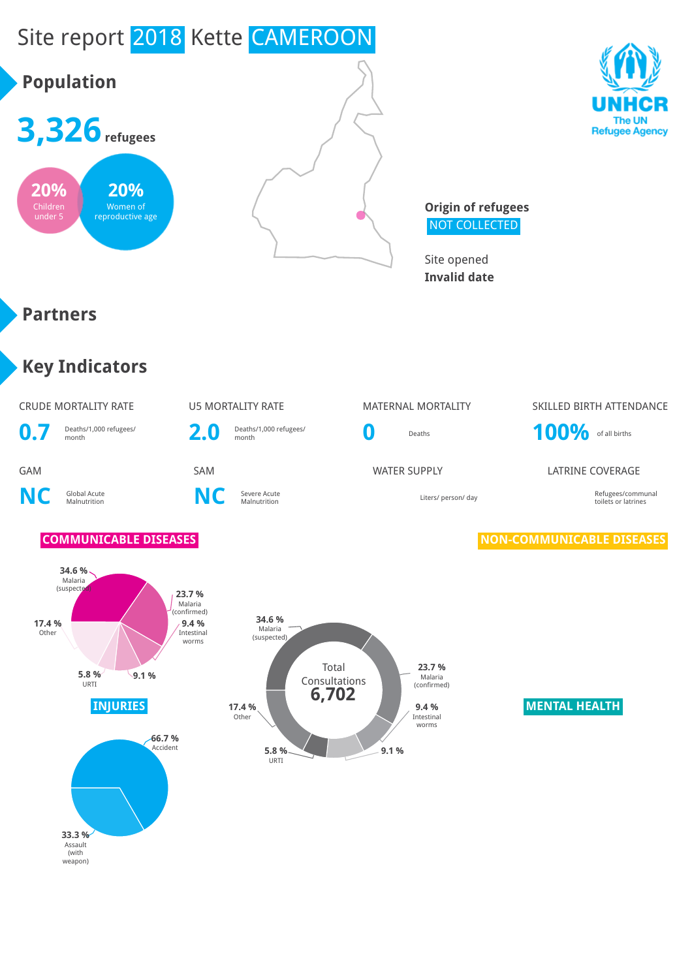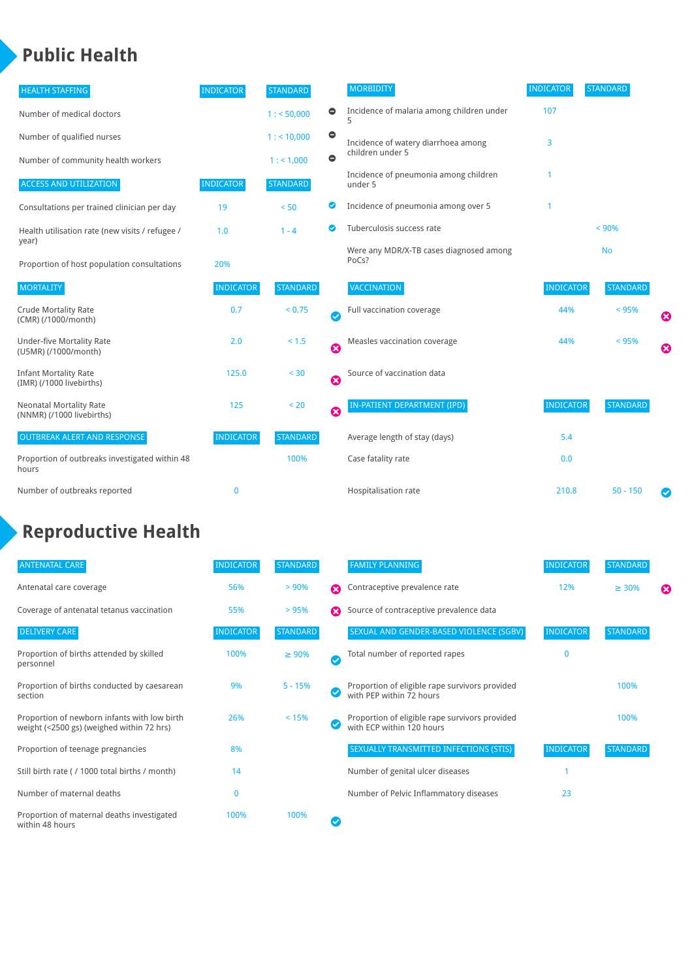### **Public Health**

| <b>HEALTH STAFFING</b>                                      | <b>INDICATOR</b> | <b>STANDARD</b> |           | <b>MORBIDITY</b>                                 | <b>INDICATOR</b> | <b>STANDARD</b> |   |
|-------------------------------------------------------------|------------------|-----------------|-----------|--------------------------------------------------|------------------|-----------------|---|
| Number of medical doctors                                   |                  | 1: 50,000       | $\bullet$ | Incidence of malaria among children under        | 107              |                 |   |
| Number of qualified nurses                                  |                  | $1:$ < 10,000   | $\bullet$ | Incidence of watery diarrhoea among              | 3                |                 |   |
| Number of community health workers                          |                  | 1:1,000         | $\bullet$ | children under 5                                 |                  |                 |   |
| <b>ACCESS AND UTILIZATION</b>                               | <b>INDICATOR</b> | <b>STANDARD</b> |           | Incidence of pneumonia among children<br>under 5 |                  |                 |   |
| Consultations per trained clinician per day                 | 19               | < 50            | ◎         | Incidence of pneumonia among over 5              |                  |                 |   |
| Health utilisation rate (new visits / refugee /             | 1.0              | $1 - 4$         | ◙         | Tuberculosis success rate                        |                  |                 |   |
| year)<br>Proportion of host population consultations        | 20%              |                 |           | Were any MDR/X-TB cases diagnosed among<br>PoCs? |                  | <b>No</b>       |   |
| <b>MORTALITY</b>                                            | <b>INDICATOR</b> | <b>STANDARD</b> |           | <b>VACCINATION</b>                               | <b>INDICATOR</b> | <b>STANDARD</b> |   |
| <b>Crude Mortality Rate</b><br>(CMR) (/1000/month)          | 0.7              | < 0.75          | Ø         | Full vaccination coverage                        | 44%              | < 95%           | € |
| <b>Under-five Mortality Rate</b><br>(U5MR) (/1000/month)    | 2.0              | $< 1.5$         | ☺         | Measles vaccination coverage                     | 44%              | < 95%           | Ø |
| <b>Infant Mortality Rate</b><br>(IMR) (/1000 livebirths)    | 125.0            | $30$            | Ø         | Source of vaccination data                       |                  |                 |   |
| <b>Neonatal Mortality Rate</b><br>(NNMR) (/1000 livebirths) | 125              | < 20            | 0         | IN-PATIENT DEPARTMENT (IPD)                      | <b>INDICATOR</b> | <b>STANDARD</b> |   |
| <b>OUTBREAK ALERT AND RESPONSE</b>                          | <b>INDICATOR</b> | <b>STANDARD</b> |           | Average length of stay (days)                    | 5.4              |                 |   |
| Proportion of outbreaks investigated within 48<br>hours     |                  | 100%            |           | Case fatality rate                               | 0.0              |                 |   |
| Number of outbreaks reported                                | 0                |                 |           | Hospitalisation rate                             | 210.8            | $50 - 150$      |   |

### **Reproductive Health**

| <b>ANTENATAL CARE</b>                                                                     | <b>INDICATOR</b> | <b>STANDARD</b> |   | <b>FAMILY PLANNING</b>                                                      | <b>INDICATOR</b> | <b>STANDARD</b> |   |
|-------------------------------------------------------------------------------------------|------------------|-----------------|---|-----------------------------------------------------------------------------|------------------|-----------------|---|
| Antenatal care coverage                                                                   | 56%              | > 90%           | ⋒ | Contraceptive prevalence rate                                               | 12%              | $\geq 30\%$     | ⊠ |
| Coverage of antenatal tetanus vaccination                                                 | 55%              | >95%            | Ω | Source of contraceptive prevalence data                                     |                  |                 |   |
| <b>DELIVERY CARE</b>                                                                      | <b>INDICATOR</b> | <b>STANDARD</b> |   | SEXUAL AND GENDER-BASED VIOLENCE (SGBV)                                     | <b>INDICATOR</b> | <b>STANDARD</b> |   |
| Proportion of births attended by skilled<br>personnel                                     | 100%             | $\geq 90\%$     | Ø | Total number of reported rapes                                              | O                |                 |   |
| Proportion of births conducted by caesarean<br>section                                    | 9%               | $5 - 15%$       |   | Proportion of eligible rape survivors provided<br>with PEP within 72 hours  |                  | 100%            |   |
| Proportion of newborn infants with low birth<br>weight (<2500 gs) (weighed within 72 hrs) | 26%              | < 15%           |   | Proportion of eligible rape survivors provided<br>with ECP within 120 hours |                  | 100%            |   |
| Proportion of teenage pregnancies                                                         | 8%               |                 |   | SEXUALLY TRANSMITTED INFECTIONS (STIS)                                      | <b>INDICATOR</b> | <b>STANDARD</b> |   |
| Still birth rate (/1000 total births / month)                                             | 14               |                 |   | Number of genital ulcer diseases                                            |                  |                 |   |
| Number of maternal deaths                                                                 | 0                |                 |   | Number of Pelvic Inflammatory diseases                                      | 23               |                 |   |
| Proportion of maternal deaths investigated<br>within 48 hours                             | 100%             | 100%            |   |                                                                             |                  |                 |   |